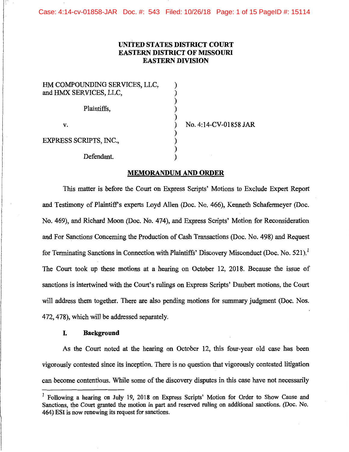Case: 4:14-cv-01858-JAR Doc. #: 543 Filed: 10/26/18 Page: 1 of 15 PageID #: 15114

# **UNITED STATES DISTRICT COURT EASTERN DISTRICT OF MISSOURI EASTERN DIVISION**

| HM COMPOUNDING SERVICES, LLC, |                |
|-------------------------------|----------------|
| and HMX SERVICES, LLC,        |                |
| Plaintiffs,                   |                |
| v.                            | No. 4:14-CV-01 |
| <b>EXPRESS SCRIPTS, INC.,</b> |                |
| Defendant.                    |                |

### **MEMORANDUM AND ORDER**

858 JAR

This matter is before the Court on Express Scripts' Motions to Exclude Expert Report and Testimony of Plaintiffs experts Loyd Allen (Doc. No. 466), Kenneth Schafermeyer (Doc. No. 469), and Richard Moon (Doc. No. 474), and Express Scripts' Motion for Reconsideration and For Sanctions Concerning the Production of Cash Transactions (Doc. No. 498) and Request for Terminating Sanctions in Connection with Plaintiffs' Discovery Misconduct (Doc. No. 521).<sup>1</sup> The Court took up these motions at a hearing on October 12, 2018. Because the issue of sanctions is intertwined with the Court's rulings on Express Scripts' Daubert motions, the Court will address them together. There are also pending motions for summary judgment (Doc. Nos. 472, 478), which will be addressed separately.

#### **I. Background**

As the Court noted at the hearing on October 12, this four-year old case has been vigorously contested since its inception. There is no question that vigorously contested litigation can become contentious. While some of the discovery disputes in this case have not necessarily

 $<sup>1</sup>$  Following a hearing on July 19, 2018 on Express Scripts' Motion for Order to Show Cause and</sup> Sanctions, the Court granted the motion in part and reserved ruling on additional sanctions. (Doc. No. 464) ESI is now renewing its request for sanctions.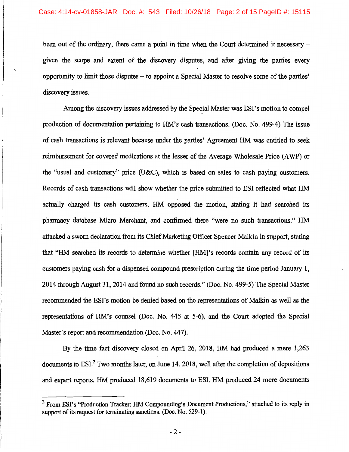been out of the ordinary, there came a point in time when the Court determined it necessary – given the scope and extent of the discovery disputes, and after giving the parties every opportunity to limit those qisputes - to appoint a Special Master to resolve some of the parties' discovery issues.

Among the discovery issues addressed by the Special Master was ESI's motion to compel production of documentation pertaining to HM's cash transactions. (Doc. No. 499-4) The issue of cash transactions is relevant because under the parties' Agreement HM was entitled to seek reimbursement for covered medications at the lesser of the Average Wholesale Price (A WP) or the "usual and customary" price (U&C), which is based on sales to cash paying customers. Records of cash transactions will show whether the price submitted to ESI reflected what HM actually charged its cash customers. HM opposed the motion, stating it had searched its pharmacy database Micro Merchant, and confirmed there "were no such transactions." HM attached a sworn declaration from its Chief Marketing Officer Spencer Malkin in support, stating that "HM searched its records to determine whether [HM]' s records contain any record of its customers paying cash for a dispensed compound prescription during the time period January 1, 2014 through August 31, 2014 and found no such records." (Doc. No. 499-5) The Special Master recommended the ESI's motion be denied based on the representations of Malkin as well as the representations of HM's counsel (Doc. No. 445 at 5-6), and the Court adopted the Special Master's report and recommendation (Doc. No. 447).

By the time fact discovery closed on April 26, 2018, HM had produced a mere 1,263 documents to  $ESI<sub>1</sub><sup>2</sup>$  Two months later, on June 14, 2018, well after the completion of depositions and expert reports, HM produced 18,619 documents to ESI. HM produced 24 more documents

 $<sup>2</sup>$  From ESI's "Production Tracker: HM Compounding's Document Productions," attached to its reply in</sup> support of its request for terminating sanctions. (Doc. No. 529-1).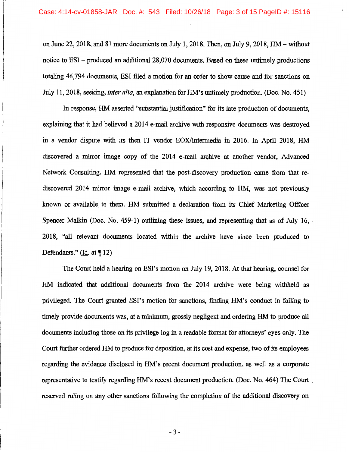on June 22, 2018, and 81 more documents on July 1, 2018. Then, on July 9, 2018, HM-without notice to ESI – produced an additional 28,070 documents. Based on these untimely productions totaling 46, 794 documents, ESI filed a motion for an order to show cause and for sanctions on July 11, 2018, seeking, *inter alia,* an explanation for HM's untimely production. (Doc. No. 451)

In response, HM asserted "substantial justification" for its late production of documents, explaining that it had believed a 2014 e-mail archive with responsive documents was destroyed in a vendor dispute with its then IT vendor EOX/Intermedia in 2016. In April 2018, HM discovered a mirror image copy of the 2014 e-mail archive at another vendor, Advanced Network Consulting. HM represented that the post-discovery production came from that rediscovered 2014 mirror image e-mail archive, which according to HM, was not previously known or available. to them. HM submitted a declaration from its Chief Marketing Officer Spencer Malkin (Doc. No. 459-1) outlining these issues, and representing that as of July 16, 2018, "all relevant documents located within the archive have since been produced to Defendants." ( $\underline{Id}$ . at ¶ 12)

The Court held a hearing on ESI's motion on July 19, 2018. At that hearing, counsel for HM indicated that additional documents from the 2014 archive were being withheld as privileged. The Court granted ESI's motion for sanctions, finding HM's conduct in failing to timely provide documents was, at a minimum, grossly negligent and ordering HM to produce all documents including those on its privilege log in a readable format for attorneys' eyes only. The Court further ordered HM to produce for deposition, at its cost and expense, two of its employees regarding the evidence disclosed in HM's recent document production, as well as a corporate representative to testify regarding HM's recent document production. (Doc. No. 464) The Court . reserved ruling on any other sanctions following the completion of the additional discovery on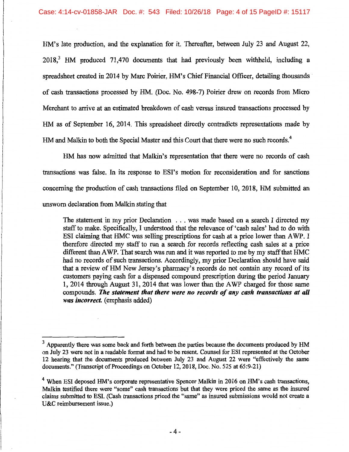HM's late production, and the explanation for it. Thereafter, between July 23 and August 22, 2018,<sup>3</sup> HM produced 71,470 documents that had previously been withheld, including a spreadsheet created in 2014 by Marc Poirier, HM's Chief Financial Officer, detailing thousands of cash transactions processed by HM. (Doc. No. 498-7) Poirier drew on records from Micro Merchant to arrive at an estimated breakdown of cash versus insured transactions processed by HM as of September 16, 2014. This spreadsheet directly contradicts representations made by HM and Malkin to both the Special Master and this Court that there were no such records.<sup>4</sup>

HM has now admitted that Malkin's representation that there were no records of cash transactions was false. In its response to ESI's motion for reconsideration and for sanctions concerning the production of cash transactions filed on September 10, 2018, HM submitted an unsworn declaration from Malkin stating that

The statement in my prior Declaration . . . was made based on a search I directed my staff to make. Specifically, I understood that the relevance of 'cash sales' had to do with ESI claiming that HMC was selling prescriptions for cash at a price lower than A WP. I therefore directed my staff to run a search for records reflecting cash sales at a price different than A WP. That search was run and it was reported to me by my staff that HMC had no records of such transactions. Accordingly, my prior Declaration should have said that a review of HM New Jersey's pharmacy's records do not contain any record of its customers paying cash for a dispensed compound prescription during the period January 1, 2014 through August 31, 2014 that was lower than the A WP charged for those same compounds. *The statement that there were no records of any cash transactions at all was incorrect.* (emphasis added)

<sup>&</sup>lt;sup>3</sup> Apparently there was some back and forth between the parties because the documents produced by HM on July 23 were not in a readable format and had to be resent. Counsel for ESI represented at the October 12 hearing that the documents produced between July 23 and August 22 were "effectively the same documents." (Transcript of Proceedings on October 12, 2018, Doc. No. 525 at 65:9-21)

<sup>&</sup>lt;sup>4</sup> When ESI deposed HM's corporate representative Spencer Malkin in 2016 on HM's cash transactions, Malkin testified there were "some" cash transactions but that they were priced the same as the insured claims submitted to ESI. (Cash transactions priced the "same" as insured submissions would not create a U&C reimbursement issue.)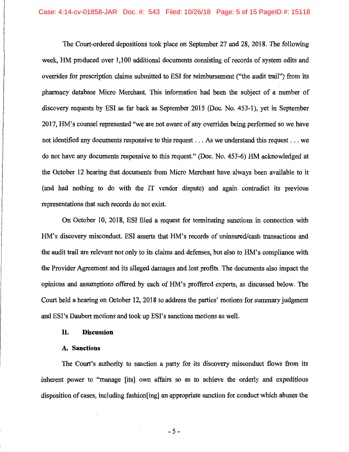The Court-ordered depositions took place on September 27 and 28, 2018. The following week, HM produced over 1,100 additional documents consisting of records of system edits and overrides for prescription claims submitted to ESI for reimbursement ("the audit trail") from its pharmacy database Micro Merchant. This information had been the subject of a number of discovery requests by ESI as far back as September 2015 (Doc. No. 453-1), yet in September 2017, HM's counsel represented "we are not aware of any overrides being performed so we have not identified any documents responsive to this request ... As we understand this request ... we do not have any documents responsive to this request." (Doc. No. 453-6) HM acknowledged at the October 12 hearing that documents from Micro Merchant have always been available to it (and had nothing to do with the IT vendor dispute) and again contradict its previous representations that such records do not exist.

On October 10, 2018, ESI filed a request for terminating sanctions in connection with HM's discovery misconduct. ESI asserts that HM's records of uninsured/cash transactions and the audit trail are relevant not only to its claims and defenses, but also to HM's compliance with the Provider Agreement and its alleged damages and lost profits. The documents also impact the opinions and assumptions offered by each of HM's proffered experts, as discussed below. The Court held a hearing on October 12, 2018 to address the parties' motions for summary judgment and ESI's Daubert motions and took up ESI's sanctions motions as well.

## II. **Discussion**

## **A. Sanctions**

The Court's authority to sanction a party for its discovery misconduct flows from its inherent power to "manage [its] own affairs so as to achieve the orderly and expeditious disposition of cases, including fashion[ing] an appropriate sanction for conduct which abuses the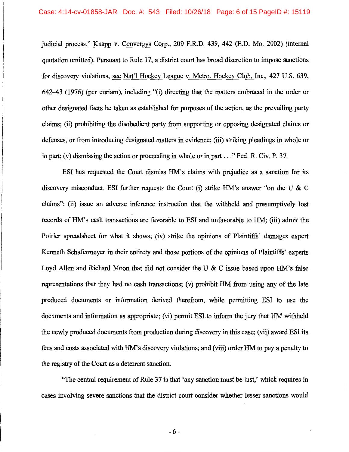judicial process." Knapp v. Convergys Corp., 209 F.R.D. 439, 442 (E.D. Mo. 2002) (internal quotation omitted). Pursuant to Rule 37, a district court has broad discretion to impose sanctions for discovery violations, see Nat'l Hockey League v. Metro. Hockey Club, Inc., 427 U.S. 639, 642-43 (1976) (per curiam), including "(i) directing that the matters embraced in the order or other designated facts be taken as established for purposes of the action, as the prevailing party claims; (ii) prohibiting the disobedient party from supporting or opposing designated claims or defenses, or from introducing designated matters in evidence; (iii) striking pleadings in whole or in part; (v) dismissing the action or proceeding in whole or in part ... " Fed. R. Civ. P. 37.

ESI has requested the Court dismiss HM's claims with prejudice as a sanction for its discovery misconduct. ESI further requests the Court (i) strike HM's answer "on the U & C claims"; (ii) issue an adverse inference instruction that the withheld and presumptively lost records of HM's cash transactions are favorable to ESI and unfavorable to HM; (iii) admit the Poirier spreadsheet for what it shows; (iv) strike the opinions of Plaintiffs' damages expert Kenneth Schafermeyer in their entirety and those portions of the opinions of Plaintiffs' experts Loyd Allen and Richard Moon that did not consider the U  $\&$  C issue based upon HM's false representations that they had no cash transactions; (v) prohibit HM from using any of the late produced documents or information derived therefrom, while permitting ESI to use the documents and information as appropriate; (vi) permit ESI to inform the jury that HM withheld the newly produced documents from production during discovery in this case; (vii) award ESI its fees and costs associated with HM's discovery violations; and (viii) order HM to pay a penalty to the registry of the Court as a deterrent sanction.

"The central requirement of Rule 37 is that 'any sanction must be just,' which requires in cases involving severe sanctions that the district court consider whether lesser sanctions would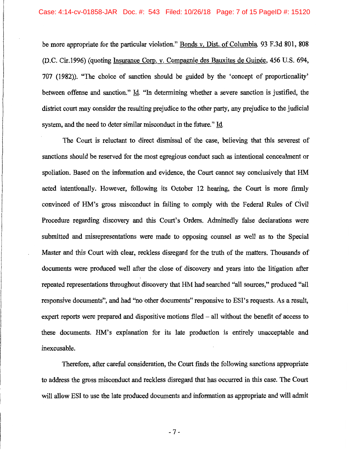be more appropriate for the particular violation." Bonds v. Dist. of Columbia, 93 F.3d 801, 808 (D.C. Cir.1996) (quoting Insurance Corp. v. Compagnie des Bauxites de Guinee, 456 U.S. 694, 707 (1982)). "The choice of sanction should be guided by the 'concept of proportionality' between offense and sanction." Id. "In determining whether a severe sanction is justified, the district court may consider the resulting prejudice to the other party, any prejudice to the judicial system, and the need to deter similar misconduct in the future." Id

The Court is reluctant to direct dismissal of the case, believing that this severest of sanctions should be reserved for the most egregious conduct such as intentional concealment or spoliation. Based on the information and evidence, the Court cannot say conclusively that HM acted intentionally. However, following its October 12 hearing, the Court is more firmly convinced of HM's gross misconduct in failing to comply with the Federal Rules of Civil Procedure regarding discovery and this Court's Orders. Admittedly false declarations were submitted and misrepresentations were made to opposing counsel as well as to the Special Master and this Court with clear, reckless disregard for the truth of the matters. Thousands of documents were produced well after the close of discovery and years into the litigation after repeated representations throughout discovery that HM had searched "all sources," produced "all responsive documents", and had "no other documents" responsive to ESI's requests. As a result, expert reports were prepared and dispositive motions filed  $-$  all without the benefit of access to these documents. HM's explanation for its late production is entirely unacceptable and inexcusable.

Therefore, after careful consideration, the Court finds the following sanctions appropriate to address the gross misconduct and reckless disregard that has occurred in this case. The Court will allow ESI to use the late produced documents and information as appropriate and will admit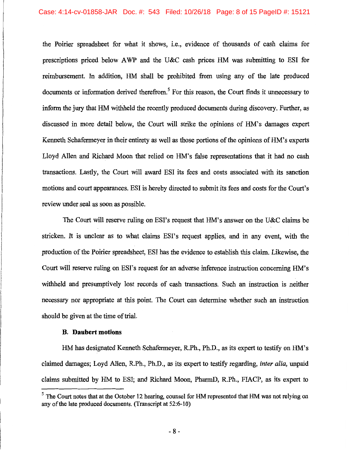the Poirier spreadsheet for what it shows, i.e., evidence of thousands of cash claims for prescriptions priced below AWP and the U&C cash prices HM was submitting to ESI for reimbursement. In addition, HM shall be prohibited from using any of the late produced documents or information derived therefrom.<sup>5</sup> For this reason, the Court finds it unnecessary to inform the jury that HM withheld the recently produced documents during discovery. Further, as discussed in more detail below, the Court will strike the opinions of HM's damages expert Kenneth Schafermeyer in their entirety as well as those portions of the opinions of HM's experts Lloyd Allen and Richard Moon that relied on HM's false representations that it had no cash transactions. Lastly, the Court will award ESI its fees and costs associated with its sanction motions and court appearances. ESI is hereby directed to submit its fees and costs for the Court's review under seal as soon as possible.

The Court will reserve ruling on ESI's request that HM's answer on the U&C claims be stricken. It is unclear as to what claims ESI's request applies, and in any event, with the production of the Poirier spreadsheet, ESI has the evidence to establish this claim. Likewise, the Court will reserve ruling on ESI's request for an adverse inference instruction concerning HM's withheld and presumptively lost records of cash transactions. Such an instruction is neither necessary nor appropriate at this point. The Court can determine whether such an instruction should be given at the time of trial.

### **B. Daubert motions**

HM has designated Kenneth Schafermeyer, R.Ph., Ph.D., as its expert to testify on HM's claimed damages; Loyd Allen, R.Ph., Ph.D., as its expert to testify regarding, *inter alia,* unpaid claims submitted by HM to ESI; and Richard Moon, PharmD, R.Ph., FIACP, as its expert to

 $<sup>5</sup>$  The Court notes that at the October 12 hearing, counsel for HM represented that HM was not relying on</sup> any of the late produced documents. (Transcript at 52:6-10)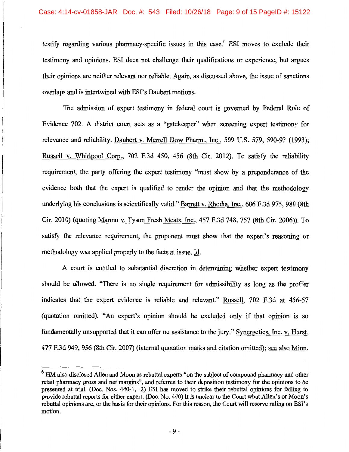testify regarding various pharmacy-specific issues in this case.<sup>6</sup> ESI moves to exclude their testimony and opinions. ESI does not challenge their qualifications or experience, but argues their opinions are neither relevant nor reliable. Again, as discussed above, the issue of sanctions overlaps and is intertwined with ESI's Daubert motions.

The admission of expert testimony in federal court is governed by Federal Rule of Evidence 702. A district court acts as a "gatekeeper" when screening expert testimony for relevance and reliability. Daubert v. Merrell Dow Pharm., Inc., 509 U.S. 579, 590-93 (1993); Russell v. Whirlpool Corp., 702 F.3d 450, 456 (8th Cir. 2012). To satisfy the reliability requirement, the party offering the expert testimony "must show by a preponderance of the evidence both that the expert is qualified to render the opinion and that the methodology underlying his conclusions is scientifically valid." Barrett v. Rhodia, Inc., 606 F.3d 975, 980 (8th Cir. 2010) (quoting Manno v. Tyson Fresh Meats, Inc., 457 F.3d 748, 757 (8th Cir. 2006)). To satisfy the relevance requirement, the proponent must show that the expert's reasoning or methodology was applied properly to the facts at issue. Id.

A court is entitled to substantial discretion in determining whether expert testimony should be allowed. "There is no single requirement for admissibility as long as the proffer indicates that the expert evidence is reliable and relevant." Russell, 702 F.3d at 456-57 (quotation omitted). "An expert's opinion should be excluded only if that opinion is so fundamentally unsupported that it can offer no assistance to the jury." Synergetics, Inc. v. Hurst, 477 F.3d 949, 956 (8th Cir. 2007) (internal quotation marks and citation omitted); see also Minn.

 $6$  HM also disclosed Allen and Moon as rebuttal experts "on the subject of compound pharmacy and other retail pharmacy gross and net margins", and referred to their deposition testimony for the opinions to be presented at trial. (Doc. Nos. 440-1, -2) ESI has moved to strike their rebuttal opinions for failing to provide rebuttal reports for either expert. (Doc. No. 440) It is unclear to the Court what Allen's or Moon's rebuttal opinions are, or the basis for their opinions. For this reason, the Court will reserve ruling on ESI's motion.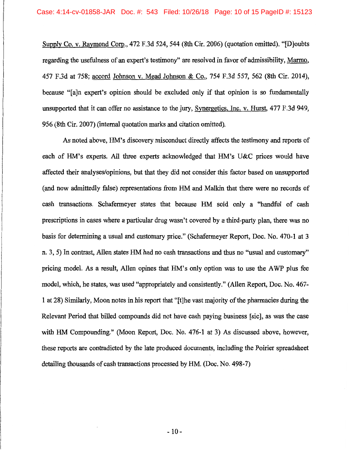Supply Co. v. Raymond Corp., 472 F.3d 524, 544 (8th Cir. 2006) (quotation omitted). "[D]oubts regarding the usefulness of an expert's testimony" are resolved in favor of admissibility, Marmo, 457 F.3d at 758; accord Johnson v. Mead Johnson & Co., 754 F.3d 557, 562 (8th Cir. 2014), because "[a]n expert's opinion should be excluded only if that opinion is so fundamentally unsupported that it can offer no assistance to the jury, Synergetics, Inc. v. Hurst, 477 F.3d 949, 956 (8th Cir. 2007) (internal quotation marks and citation omitted).

As noted above, HM's discovery misconduct directly affects the testimony and reports of each of HM's experts. All three experts acknowledged that HM's U&C prices would have affected their analyses/opinions, but that they did not consider this factor based on unsupported (and now admittedly false) representations from HM and Malkin that there were no records of cash transactions. Schafermeyer states that because HM sold only a "handful of cash prescriptions in cases where a particular drug wasn't covered by a third-party plan, there was no basis for determining a usual and customary price." (Schafermeyer Report, Doc. No. 470-1 at 3 n. 3, 5) In contrast, Allen states HM had no cash transactions and thus no "usual and customary" pricing model. As a result, Allen opines that HM's only option was to use the AWP plus fee model, which, he states, was used "appropriately and consistently." (Allen Report, Doc. No. 467- 1 at 28) Similarly, Moon notes in his report that "[t]he vast majority of the pharmacies during the Relevant Period that billed compounds did not have cash paying business [sic], as was the case with HM Compounding." (Moon Report, Doc. No. 476-1 at 3) As discussed above, however, these reports are contradicted by the late produced documents, including the Poirier spreadsheet detailing thousands of cash transactions processed by HM. (Doc. No. 498-7)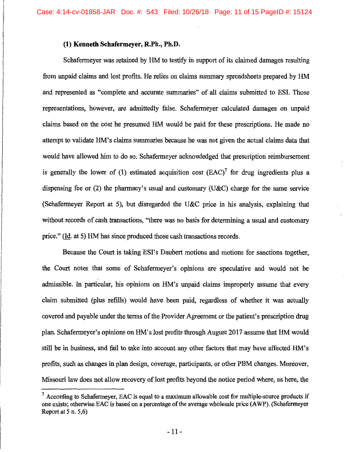# **(1) Kenneth Schafermeyer, R.Ph., Ph.D.**

Schafermeyer was retained by HM to testify in support of its claimed damages resulting from unpaid claims and lost profits. He relies on claims summary spreadsheets prepared by HM and represented as "complete and accurate summaries" of all claims submitted to ESL Those representations, however, are admittedly false. Schafermeyer calculated damages on unpaid claims based on the cost he presumed HM would be paid for these prescriptions. He made no attempt to validate HM's claims summaries because he was not given the actual claims data that would have allowed him to do so. Schafermeyer acknowledged that prescription reimbursement is generally the lower of (1) estimated acquisition cost  $(EAC)^7$  for drug ingredients plus a dispensing fee or (2) the pharmacy's usual and customary (U&C) charge for the same service (Schafermeyer Report at 5), but disregarded the U&C price in his analysis, explaining that without records of cash transactions, "there was no basis for determining a usual and customary price." (Id. at 5) HM has since produced those cash transactions records.

Because the Court is taking ESl's Daubert motions and motions for sanctions together, the Court notes that some of Schafermeyer's opinions are speculative and would not be admissible. In particular, his opinions on HM's unpaid claims improperly assume that every claim submitted (plus refills) would have been paid, regardless of whether it was actually covered and payable under the terms of the Provider Agreement or the patient's prescription drug plan. Schafermeyer's opinions on HM's lost profits through August 2017 assume that HM would still be in business, and fail to take into account any other factors that may have affected HM's profits, such as changes in plan design, coverage, participants, or other PBM changes. Moreover, Missouri law does not allow recovery of lost profits beyond the notice period where, as here, the

 $<sup>7</sup>$  According to Schafermeyer, EAC is equal to a maximum allowable cost for multiple-source products if</sup> one exists; otherwise EAC is based on a percentage of the average wholesale price (AWP). (Schafermeyer Report at  $5$  n.  $5,6$ )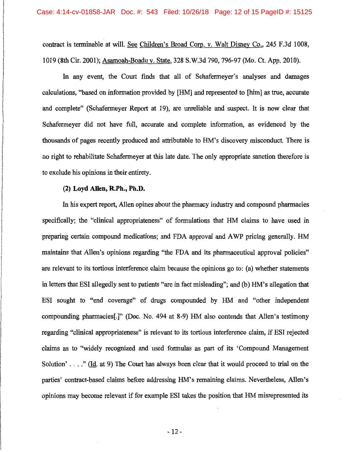contract is terminable at will. See Children's Broad Corp. v. Walt Disney Co., 245 F.3d 1008, 1019 (8th Cir. 2001); Asamoah-Boadu v. State, 328 S.W.3d 790, 796-97 (Mo. Ct. App. 2010).

In any event, the Court finds that all of Schafermeyer's analyses and damages calculations, "based on information provided by [HM] and represented to [him] as true, accurate and complete" (Schafermeyer Report at 19), are unreliable and suspect. It is now clear that Schafermeyer did not have full, accurate and complete information, as evidenced by the thousands of pages recently produced and attributable to HM's discovery misconduct. There is no right to rehabilitate Schafermeyer at this late date. The only appropriate sanction therefore is to exclude his opinions in their entirety.

# **(2) Loyd Allen, R.Ph., Ph.D.**

In his expert report, Allen opines about the pharmacy industry and compound pharmacies specifically; the "clinical appropriateness" of formulations that HM claims to have used in preparing certain compound medications; and FDA approval and A WP pricing generally. HM maintains that Allen's opinions regarding "the FDA and its pharmaceutical approval policies" are relevant to its tortious interference claim because the opinions go to: (a) whether statements in letters that ESI allegedly sent to patients "are in fact misleading"; and (b) HM's allegation that ESI sought to "end coverage" of drugs compounded by HM and "other independent compounding pharmacies[.]" (Doc. No. 494 at 8-9) HM also contends that Allen's testimony regarding "clinical appropriateness" is relevant to its tortious interference claim, if ESI rejected claims as to "widely recognized and used formulas as part of its 'Compound Management Solution' ...." (Id. at 9) The Court has always been clear that it would proceed to trial on the parties' contract-based claims before addressing HM's remaining claims. Nevertheless, Allen's opinions may become relevant if for example ESI takes the position that HM misrepresented its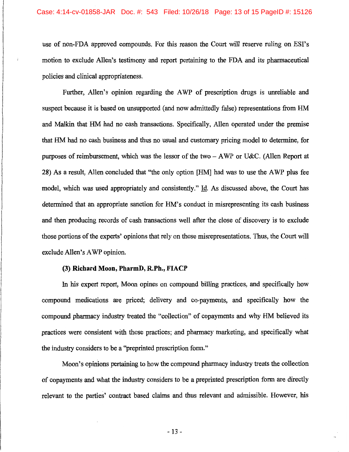use of non-FDA approved compounds. For this reason the Court will reserve ruling on ESI's motion to exclude Allen's testimony and report pertaining to the FDA and its pharmaceutical policies and clinical appropriateness.

Further, Allen's opinion regarding the AWP of prescription drugs is unreliable and suspect because it is based on unsupported (and now admittedly false) representations from HM and Malkin that HM had no cash transactions. Specifically, Allen operated under the premise that HM had no cash business and thus no usual and customary pricing model to determine, for purposes of reimbursement, which was the lessor of the two - A WP or U&C. (Allen Report at 28) As a result, Allen concluded that "the only option [HM] had was to use the A WP plus fee model, which was used appropriately and consistently." Id. As discussed above, the Court has determined that an appropriate sanction for HM's conduct in misrepresenting its cash business and then producing records of cash transactions well after the close of discovery is to exclude those portions of the experts' opinions that rely on those misrepresentations. Thus, the Court will exclude Allen's A WP opinion.

# (3) **Richard Moon, PharmD, R.Ph.,** FIACP

In his expert report, Moon opines on compound billing practices, and specifically how compound medications are priced; delivery and co-payments, and specifically how the compound pharmacy industry treated the "collection" of copayments and why HM believed its practices were consistent with those practices; and pharmacy marketing, and specifically what the industry considers to be a "preprinted prescription form."

Moon's opinions pertaining to how the compound pharmacy industry treats the collection of copayments and what the industry considers to be a preprinted prescription form are directly relevant to the parties' contract based claims and thus relevant and admissible. However, his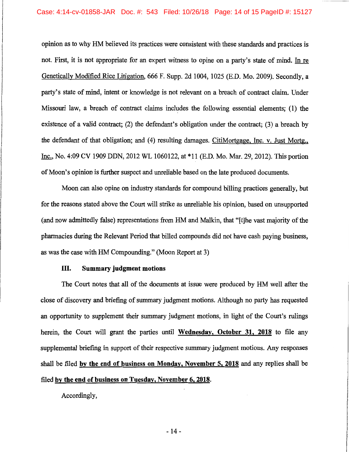opinion as to why HM believed its practices were consistent with these standards and practices is not. First, it is not appropriate for an expert witness to opine on a party's state of mind. In re Genetically Modified Rice Litigation, 666 F. Supp. 2d 1004, 1025 (E.D. Mo. 2009). Secondly, a party's state of mind, intent or knowledge is not relevant on a breach of contract claim. Under Missouri law, a breach of contract claims includes the following essential elements; (1) the existence of a valid contract; (2) the defendant's obligation under the contract; (3) a breach by the defendant of that obligation; and (4) resulting damages. CitiMortgage, Inc. v. Just Mortg., Inc., No. 4:09 CV 1909 DDN, 2012 WL 1060122, at \*11 (E.D. Mo. Mar. 29, 2012). This portion of Moon's opinion is further suspect and unreliable based on the late produced documents.

Moon can also opine on industry standards for compound billing practices generally, but for the reasons stated above the Court will strike as unreliable his opinion, based on unsupported (and now admittedly false) representations from HM and Malkin, that "[t]he vast majority of the pharmacies during the Relevant Period that billed compounds did not have cash paying business, as was the case with HM Compounding." (Moon Report at 3)

# III. Summary judgment motions

The Court notes that all of the documents at issue were produced by HM well after the close of discovery and briefing of summary judgment motions. Although no party has requested an opportunity to supplement their summary judgment motions, in light of the Court's rulings herein, the Court will grant the parties until Wednesday, October 31, 2018 to file any supplemental briefing in support of their respective summary judgment motions. Any responses shall be filed by the end of business on Monday, November 5, 2018 and any replies shall be filed by the end of business on Tuesday, November 6, 2018.

Accordingly,